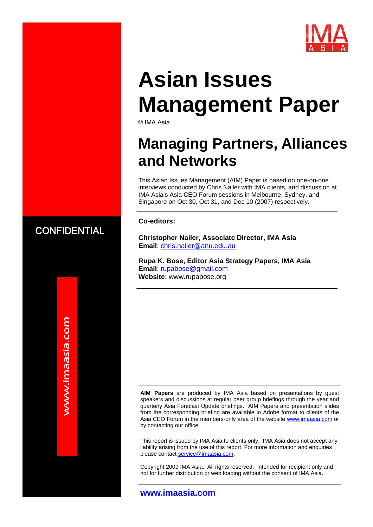

# **Asian Issues Management Paper**

© IMA Asia

# **Managing Partners, Alliances and Networks**

This Asian Issues Management (AIM) Paper is based on one-on-one interviews conducted by Chris Nailer with IMA clients, and discussion at IMA Asia's Asia CEO Forum sessions in Melbourne, Sydney, and Singapore on Oct 30, Oct 31, and Dec 10 (2007) respectively.

# **Co-editors:**

**Christopher Nailer, Associate Director, IMA Asia Email**: chris.nailer@anu.edu.au

**Rupa K. Bose, Editor Asia Strategy Papers, IMA Asia Email**: rupabose@gmail.com **Website**: www.rupabose.org

**AIM Papers** are produced by IMA Asia based on presentations by guest speakers and discussions at regular peer group briefings through the year and quarterly Asia Forecast Update briefings. AIM Papers and presentation slides from the corresponding briefing are available in Adobe format to clients of the Asia CEO Forum in the members-only area of the website www.imaasia.com or by contacting our office.

This report is issued by IMA Asia to clients only. IMA Asia does not accept any liability arising from the use of this report. For more information and enquiries please contact service@imaasia.com.

Copyright 2009 IMA Asia. All rights reserved. Intended for recipient only and not for further distribution or web loading without the consent of IMA Asia.

# **www.imaasia.com**

www.imaasia.com www.imaasia.com

**CONFIDENTIAL**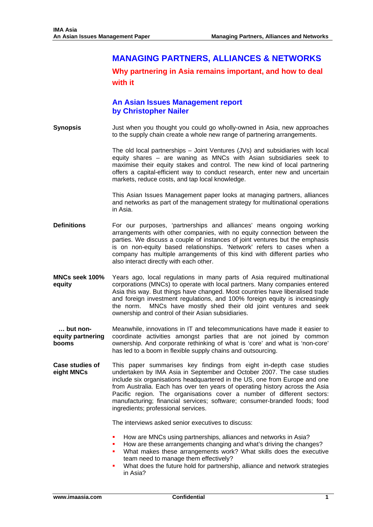# **MANAGING PARTNERS, ALLIANCES & NETWORKS**

# **Why partnering in Asia remains important, and how to deal with it**

# **An Asian Issues Management report by Christopher Nailer**

**Synopsis** Just when you thought you could go wholly-owned in Asia, new approaches to the supply chain create a whole new range of partnering arrangements.

> The old local partnerships – Joint Ventures (JVs) and subsidiaries with local equity shares – are waning as MNCs with Asian subsidiaries seek to maximise their equity stakes and control. The new kind of local partnering offers a capital-efficient way to conduct research, enter new and uncertain markets, reduce costs, and tap local knowledge.

> This Asian Issues Management paper looks at managing partners, alliances and networks as part of the management strategy for multinational operations in Asia.

- **Definitions** For our purposes, 'partnerships and alliances' means ongoing working arrangements with other companies, with no equity connection between the parties. We discuss a couple of instances of joint ventures but the emphasis is on non-equity based relationships. 'Network' refers to cases when a company has multiple arrangements of this kind with different parties who also interact directly with each other.
- **MNCs seek 100% equity**  Years ago, local regulations in many parts of Asia required multinational corporations (MNCs) to operate with local partners. Many companies entered Asia this way. But things have changed. Most countries have liberalised trade and foreign investment regulations, and 100% foreign equity is increasingly the norm. MNCs have mostly shed their old joint ventures and seek ownership and control of their Asian subsidiaries.

 **… but nonequity partnering booms**  Meanwhile, innovations in IT and telecommunications have made it easier to coordinate activities amongst parties that are not joined by common ownership. And corporate rethinking of what is 'core' and what is 'non-core' has led to a boom in flexible supply chains and outsourcing.

**Case studies of eight MNCs**  This paper summarises key findings from eight in-depth case studies undertaken by IMA Asia in September and October 2007. The case studies include six organisations headquartered in the US, one from Europe and one from Australia. Each has over ten years of operating history across the Asia Pacific region. The organisations cover a number of different sectors: manufacturing; financial services; software; consumer-branded foods; food ingredients; professional services.

The interviews asked senior executives to discuss:

- How are MNCs using partnerships, alliances and networks in Asia?
- How are these arrangements changing and what's driving the changes?
- What makes these arrangements work? What skills does the executive team need to manage them effectively?
- What does the future hold for partnership, alliance and network strategies in Asia?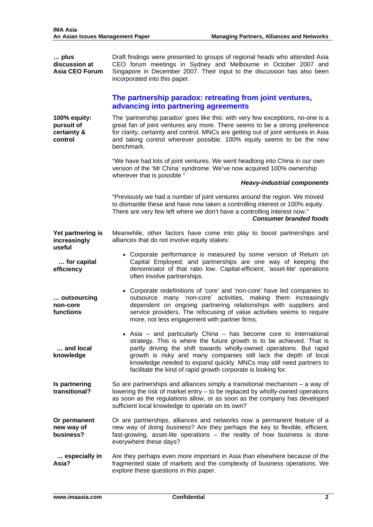| $\ldots$ plus<br>discussion at<br><b>Asia CEO Forum</b> | Draft findings were presented to groups of regional heads who attended Asia<br>CEO forum meetings in Sydney and Melbourne in October 2007 and<br>Singapore in December 2007. Their input to the discussion has also been<br>incorporated into this paper.                                                                                                                                                                     |
|---------------------------------------------------------|-------------------------------------------------------------------------------------------------------------------------------------------------------------------------------------------------------------------------------------------------------------------------------------------------------------------------------------------------------------------------------------------------------------------------------|
|                                                         | The partnership paradox: retreating from joint ventures,<br>advancing into partnering agreements                                                                                                                                                                                                                                                                                                                              |
| 100% equity:<br>pursuit of<br>certainty &<br>control    | The 'partnership paradox' goes like this: with very few exceptions, no-one is a<br>great fan of joint ventures any more. There seems to be a strong preference<br>for clarity, certainty and control. MNCs are getting out of joint ventures in Asia<br>and taking control wherever possible. 100% equity seems to be the new<br>benchmark.                                                                                   |
|                                                         | "We have had lots of joint ventures. We went headlong into China in our own<br>version of the 'Mr China' syndrome. We've now acquired 100% ownership<br>wherever that is possible "                                                                                                                                                                                                                                           |
|                                                         | <b>Heavy-industrial components</b>                                                                                                                                                                                                                                                                                                                                                                                            |
|                                                         | "Previously we had a number of joint ventures around the region. We moved<br>to dismantle these and have now taken a controlling interest or 100% equity.<br>There are very few left where we don't have a controlling interest now."<br><b>Consumer branded foods</b>                                                                                                                                                        |
| Yet partnering is<br>increasingly<br>useful             | Meanwhile, other factors have come into play to boost partnerships and<br>alliances that do not involve equity stakes:                                                                                                                                                                                                                                                                                                        |
| for capital<br>efficiency                               | • Corporate performance is measured by some version of Return on<br>Capital Employed; and partnerships are one way of keeping the<br>denominator of that ratio low. Capital-efficient, 'asset-lite' operations<br>often involve partnerships.                                                                                                                                                                                 |
| outsourcing<br>non-core<br>functions                    | • Corporate redefinitions of 'core' and 'non-core' have led companies to<br>outsource many 'non-core' activities, making them increasingly<br>dependent on ongoing partnering relationships with suppliers and<br>service providers. The refocusing of value activities seems to require<br>more, not less engagement with partner firms.                                                                                     |
| and local<br>knowledge                                  | • Asia - and particularly China - has become core to international<br>strategy. This is where the future growth is to be achieved. That is<br>partly driving the shift towards wholly-owned operations. But rapid<br>growth is risky and many companies still lack the depth of local<br>knowledge needed to expand quickly. MNCs may still need partners to<br>facilitate the kind of rapid growth corporate is looking for. |
| Is partnering<br>transitional?                          | So are partnerships and alliances simply a transitional mechanism $-$ a way of<br>lowering the risk of market entry – to be replaced by wholly-owned operations<br>as soon as the regulations allow, or as soon as the company has developed<br>sufficient local knowledge to operate on its own?                                                                                                                             |
| Or permanent<br>new way of<br>business?                 | Or are partnerships, alliances and networks now a permanent feature of a<br>new way of doing business? Are they perhaps the key to flexible, efficient,<br>fast-growing, asset-lite operations - the reality of how business is done<br>everywhere these days?                                                                                                                                                                |
| especially in<br>Asia?                                  | Are they perhaps even more important in Asia than elsewhere because of the<br>fragmented state of markets and the complexity of business operations. We<br>explore these questions in this paper.                                                                                                                                                                                                                             |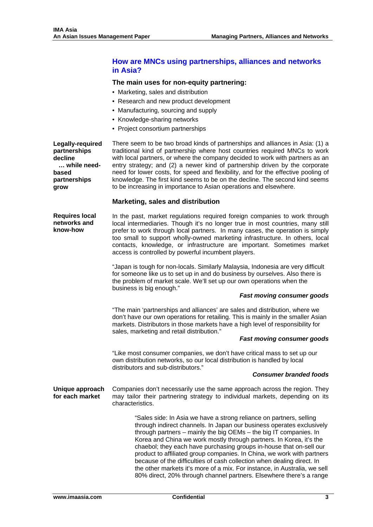# **How are MNCs using partnerships, alliances and networks in Asia?**

#### **The main uses for non-equity partnering:**

- Marketing, sales and distribution
- Research and new product development
- Manufacturing, sourcing and supply
- Knowledge-sharing networks
- Project consortium partnerships

**Legally-required partnerships decline … while needbased partnerships grow** 

There seem to be two broad kinds of partnerships and alliances in Asia: (1) a traditional kind of partnership where host countries required MNCs to work with local partners, or where the company decided to work with partners as an entry strategy; and (2) a newer kind of partnership driven by the corporate need for lower costs, for speed and flexibility, and for the effective pooling of knowledge. The first kind seems to be on the decline. The second kind seems to be increasing in importance to Asian operations and elsewhere.

#### **Marketing, sales and distribution**

**Requires local networks and know-how** 

In the past, market regulations required foreign companies to work through local intermediaries. Though it's no longer true in most countries, many still prefer to work through local partners. In many cases, the operation is simply too small to support wholly-owned marketing infrastructure. In others, local contacts, knowledge, or infrastructure are important. Sometimes market access is controlled by powerful incumbent players.

"Japan is tough for non-locals. Similarly Malaysia, Indonesia are very difficult for someone like us to set up in and do business by ourselves. Also there is the problem of market scale. We'll set up our own operations when the business is big enough."

#### *Fast moving consumer goods*

"The main 'partnerships and alliances' are sales and distribution, where we don't have our own operations for retailing. This is mainly in the smaller Asian markets. Distributors in those markets have a high level of responsibility for sales, marketing and retail distribution."

#### *Fast moving consumer goods*

"Like most consumer companies, we don't have critical mass to set up our own distribution networks, so our local distribution is handled by local distributors and sub-distributors."

#### *Consumer branded foods*

**Unique approach for each market**  Companies don't necessarily use the same approach across the region. They may tailor their partnering strategy to individual markets, depending on its characteristics.

> "Sales side: In Asia we have a strong reliance on partners, selling through indirect channels. In Japan our business operates exclusively through partners – mainly the big OEMs – the big IT companies. In Korea and China we work mostly through partners. In Korea, it's the chaebol; they each have purchasing groups in-house that on-sell our product to affiliated group companies. In China, we work with partners because of the difficulties of cash collection when dealing direct. In the other markets it's more of a mix. For instance, in Australia, we sell 80% direct, 20% through channel partners. Elsewhere there's a range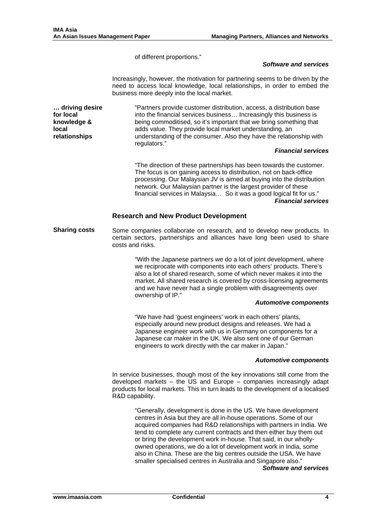**for local** 

**local** 

of different proportions."

#### *Software and services*

Increasingly, however, the motivation for partnering seems to be driven by the need to access local knowledge, local relationships, in order to embed the business more deeply into the local market.

**… driving desire knowledge & relationships**  "Partners provide customer distribution, access, a distribution base into the financial services business… Increasingly this business is being commoditised, so it's important that we bring something that adds value. They provide local market understanding, an understanding of the consumer. Also they have the relationship with regulators."

#### *Financial services*

"The direction of these partnerships has been towards the customer. The focus is on gaining access to distribution, not on back-office processing. Our Malaysian JV is aimed at buying into the distribution network. Our Malaysian partner is the largest provider of these financial services in Malaysia… So it was a good logical fit for us." *Financial services*

#### **Research and New Product Development**

**Sharing costs**  Some companies collaborate on research, and to develop new products. In certain sectors, partnerships and alliances have long been used to share costs and risks.

> "With the Japanese partners we do a lot of joint development, where we reciprocate with components into each others' products. There's also a lot of shared research, some of which never makes it into the market. All shared research is covered by cross-licensing agreements and we have never had a single problem with disagreements over ownership of IP."

#### *Automotive components*

"We have had 'guest engineers' work in each others' plants, especially around new product designs and releases. We had a Japanese engineer work with us in Germany on components for a Japanese car maker in the UK. We also sent one of our German engineers to work directly with the car maker in Japan."

#### *Automotive components*

In service businesses, though most of the key innovations still come from the developed markets – the US and Europe – companies increasingly adapt products for local markets. This in turn leads to the development of a localised R&D capability.

> "Generally, development is done in the US. We have development centres in Asia but they are all in-house operations. Some of our acquired companies had R&D relationships with partners in India. We tend to complete any current contracts and then either buy them out or bring the development work in-house. That said, in our whollyowned operations, we do a lot of development work in India, some also in China. These are the big centres outside the USA. We have smaller specialised centres in Australia and Singapore also." *Software and services*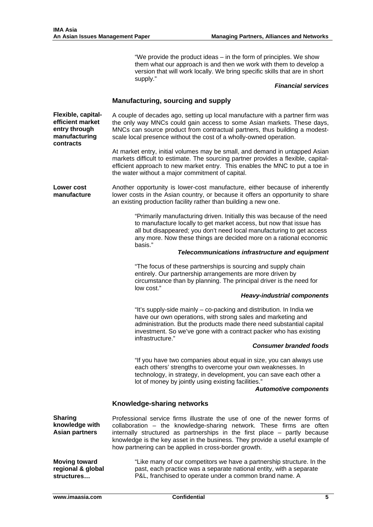"We provide the product ideas – in the form of principles. We show them what our approach is and then we work with them to develop a version that will work locally. We bring specific skills that are in short supply."

#### *Financial services*

#### **Manufacturing, sourcing and supply**

**Flexible, capitalefficient market entry through manufacturing contracts** 

A couple of decades ago, setting up local manufacture with a partner firm was the only way MNCs could gain access to some Asian markets. These days, MNCs can source product from contractual partners, thus building a modestscale local presence without the cost of a wholly-owned operation.

At market entry, initial volumes may be small, and demand in untapped Asian markets difficult to estimate. The sourcing partner provides a flexible, capitalefficient approach to new market entry. This enables the MNC to put a toe in the water without a major commitment of capital.

**Lower cost manufacture**  Another opportunity is lower-cost manufacture, either because of inherently lower costs in the Asian country, or because it offers an opportunity to share an existing production facility rather than building a new one.

> "Primarily manufacturing driven. Initially this was because of the need to manufacture locally to get market access, but now that issue has all but disappeared; you don't need local manufacturing to get access any more. Now these things are decided more on a rational economic basis."

#### *Telecommunications infrastructure and equipment*

"The focus of these partnerships is sourcing and supply chain entirely. Our partnership arrangements are more driven by circumstance than by planning. The principal driver is the need for low cost."

#### *Heavy-industrial components*

"It's supply-side mainly – co-packing and distribution. In India we have our own operations, with strong sales and marketing and administration. But the products made there need substantial capital investment. So we've gone with a contract packer who has existing infrastructure."

#### *Consumer branded foods*

"If you have two companies about equal in size, you can always use each others' strengths to overcome your own weaknesses. In technology, in strategy, in development, you can save each other a lot of money by jointly using existing facilities."

#### *Automotive components*

#### **Knowledge-sharing networks**

**Sharing knowledge with Asian partners**  Professional service firms illustrate the use of one of the newer forms of collaboration – the knowledge-sharing network. These firms are often internally structured as partnerships in the first place – partly because knowledge is the key asset in the business. They provide a useful example of how partnering can be applied in cross-border growth.

**Moving toward regional & global structures…**  "Like many of our competitors we have a partnership structure. In the past, each practice was a separate national entity, with a separate P&L, franchised to operate under a common brand name. A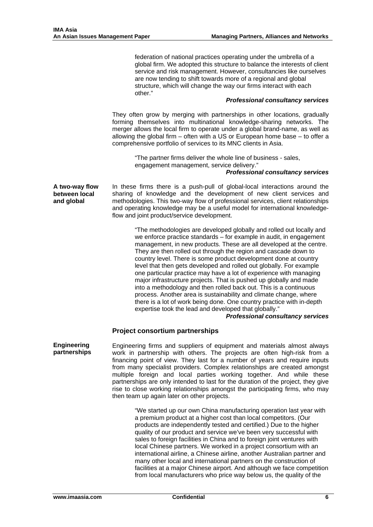federation of national practices operating under the umbrella of a global firm. We adopted this structure to balance the interests of client service and risk management. However, consultancies like ourselves are now tending to shift towards more of a regional and global structure, which will change the way our firms interact with each other."

#### *Professional consultancy services*

They often grow by merging with partnerships in other locations, gradually forming themselves into multinational knowledge-sharing networks. The merger allows the local firm to operate under a global brand-name, as well as allowing the global firm – often with a US or European home base – to offer a comprehensive portfolio of services to its MNC clients in Asia.

> "The partner firms deliver the whole line of business - sales, engagement management, service delivery."

#### *Professional consultancy services*

**A two-way flow between local and global**  In these firms there is a push-pull of global-local interactions around the sharing of knowledge and the development of new client services and methodologies. This two-way flow of professional services, client relationships and operating knowledge may be a useful model for international knowledgeflow and joint product/service development.

> "The methodologies are developed globally and rolled out locally and we enforce practice standards – for example in audit, in engagement management, in new products. These are all developed at the centre. They are then rolled out through the region and cascade down to country level. There is some product development done at country level that then gets developed and rolled out globally. For example one particular practice may have a lot of experience with managing major infrastructure projects. That is pushed up globally and made into a methodology and then rolled back out. This is a continuous process. Another area is sustainability and climate change, where there is a lot of work being done. One country practice with in-depth expertise took the lead and developed that globally."

#### *Professional consultancy services*

#### **Project consortium partnerships**

**Engineering partnerships**  Engineering firms and suppliers of equipment and materials almost always work in partnership with others. The projects are often high-risk from a financing point of view. They last for a number of years and require inputs from many specialist providers. Complex relationships are created amongst multiple foreign and local parties working together. And while these partnerships are only intended to last for the duration of the project, they give rise to close working relationships amongst the participating firms, who may then team up again later on other projects.

> "We started up our own China manufacturing operation last year with a premium product at a higher cost than local competitors. (Our products are independently tested and certified.) Due to the higher quality of our product and service we've been very successful with sales to foreign facilities in China and to foreign joint ventures with local Chinese partners. We worked in a project consortium with an international airline, a Chinese airline, another Australian partner and many other local and international partners on the construction of facilities at a major Chinese airport. And although we face competition from local manufacturers who price way below us, the quality of the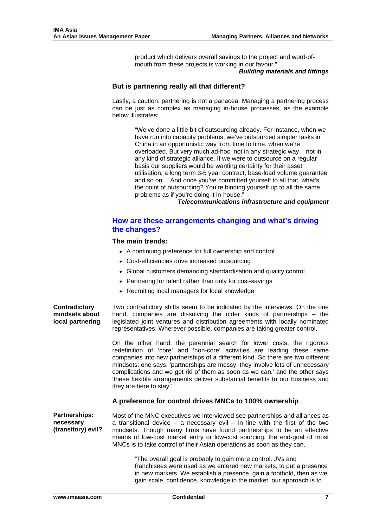product which delivers overall savings to the project and word-ofmouth from these projects is working in our favour."

#### *Building materials and fittings*

#### **But is partnering really all that different?**

Lastly, a caution: partnering is not a panacea. Managing a partnering process can be just as complex as managing in-house processes, as the example below illustrates:

> "We've done a little bit of outsourcing already. For instance, when we have run into capacity problems, we've outsourced simpler tasks in China in an opportunistic way from time to time, when we're overloaded. But very much ad-hoc, not in any strategic way – not in any kind of strategic alliance. If we were to outsource on a regular basis our suppliers would be wanting certainty for their asset utilisation, a long term 3-5 year contract, base-load volume guarantee and so on… And once you've committed yourself to all that, what's the point of outsourcing? You're binding yourself up to all the same problems as if you're doing it in-house.'

> > *Telecommunications infrastructure and equipment*

# **How are these arrangements changing and what's driving the changes?**

#### **The main trends:**

- A continuing preference for full ownership and control
- Cost-efficiencies drive increased outsourcing
- Global customers demanding standardisation and quality control
- Partnering for talent rather than only for cost-savings
- Recruiting local managers for local knowledge

#### **Contradictory mindsets about local partnering**

Two contradictory shifts seem to be indicated by the interviews. On the one hand, companies are dissolving the older kinds of partnerships – the legislated joint ventures and distribution agreements with locally nominated representatives. Wherever possible, companies are taking greater control.

On the other hand, the perennial search for lower costs, the rigorous redefinition of 'core' and 'non-core' activities are leading these same companies into new partnerships of a different kind. So there are two different mindsets: one says, 'partnerships are messy; they involve lots of unnecessary complications and we get rid of them as soon as we can,' and the other says 'these flexible arrangements deliver substantial benefits to our business and they are here to stay.'

#### **A preference for control drives MNCs to 100% ownership**

**Partnerships: necessary (transitory) evil?**  Most of the MNC executives we interviewed see partnerships and alliances as a transitional device  $-$  a necessary evil  $-$  in line with the first of the two mindsets. Though many firms have found partnerships to be an effective means of low-cost market entry or low-cost sourcing, the end-goal of most MNCs is to take control of their Asian operations as soon as they can.

> "The overall goal is probably to gain more control. JVs and franchisees were used as we entered new markets, to put a presence in new markets. We establish a presence, gain a foothold, then as we gain scale, confidence, knowledge in the market, our approach is to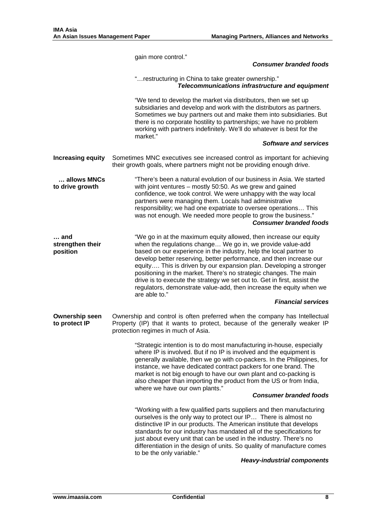|                                        | gain more control."<br><b>Consumer branded foods</b>                                                                                                                                                                                                                                                                                                                                                                                                                                                                                                                                        |
|----------------------------------------|---------------------------------------------------------------------------------------------------------------------------------------------------------------------------------------------------------------------------------------------------------------------------------------------------------------------------------------------------------------------------------------------------------------------------------------------------------------------------------------------------------------------------------------------------------------------------------------------|
|                                        | " restructuring in China to take greater ownership."<br><b>Telecommunications infrastructure and equipment</b>                                                                                                                                                                                                                                                                                                                                                                                                                                                                              |
|                                        | "We tend to develop the market via distributors, then we set up<br>subsidiaries and develop and work with the distributors as partners.<br>Sometimes we buy partners out and make them into subsidiaries. But<br>there is no corporate hostility to partnerships; we have no problem<br>working with partners indefinitely. We'll do whatever is best for the<br>market."                                                                                                                                                                                                                   |
|                                        | <b>Software and services</b>                                                                                                                                                                                                                                                                                                                                                                                                                                                                                                                                                                |
| <b>Increasing equity</b>               | Sometimes MNC executives see increased control as important for achieving<br>their growth goals, where partners might not be providing enough drive.                                                                                                                                                                                                                                                                                                                                                                                                                                        |
| allows MNCs<br>to drive growth         | "There's been a natural evolution of our business in Asia. We started<br>with joint ventures - mostly 50:50. As we grew and gained<br>confidence, we took control. We were unhappy with the way local<br>partners were managing them. Locals had administrative<br>responsibility; we had one expatriate to oversee operations This<br>was not enough. We needed more people to grow the business."<br><b>Consumer branded foods</b>                                                                                                                                                        |
| … and<br>strengthen their<br>position  | "We go in at the maximum equity allowed, then increase our equity<br>when the regulations change We go in, we provide value-add<br>based on our experience in the industry, help the local partner to<br>develop better reserving, better performance, and then increase our<br>equity This is driven by our expansion plan. Developing a stronger<br>positioning in the market. There's no strategic changes. The main<br>drive is to execute the strategy we set out to. Get in first, assist the<br>regulators, demonstrate value-add, then increase the equity when we<br>are able to." |
|                                        | <b>Financial services</b>                                                                                                                                                                                                                                                                                                                                                                                                                                                                                                                                                                   |
| <b>Ownership seen</b><br>to protect IP | Ownership and control is often preferred when the company has Intellectual<br>Property (IP) that it wants to protect, because of the generally weaker IP<br>protection regimes in much of Asia.                                                                                                                                                                                                                                                                                                                                                                                             |
|                                        | "Strategic intention is to do most manufacturing in-house, especially<br>where IP is involved. But if no IP is involved and the equipment is<br>generally available, then we go with co-packers. In the Philippines, for<br>instance, we have dedicated contract packers for one brand. The<br>market is not big enough to have our own plant and co-packing is<br>also cheaper than importing the product from the US or from India,<br>where we have our own plants."                                                                                                                     |
|                                        | <b>Consumer branded foods</b>                                                                                                                                                                                                                                                                                                                                                                                                                                                                                                                                                               |
|                                        | "Working with a few qualified parts suppliers and then manufacturing<br>ourselves is the only way to protect our IP There is almost no<br>distinctive IP in our products. The American institute that develops<br>standards for our industry has mandated all of the specifications for<br>just about every unit that can be used in the industry. There's no<br>differentiation in the design of units. So quality of manufacture comes<br>to be the only variable."                                                                                                                       |
|                                        | Hoppe inductrial components                                                                                                                                                                                                                                                                                                                                                                                                                                                                                                                                                                 |

#### *Heavy-industrial components*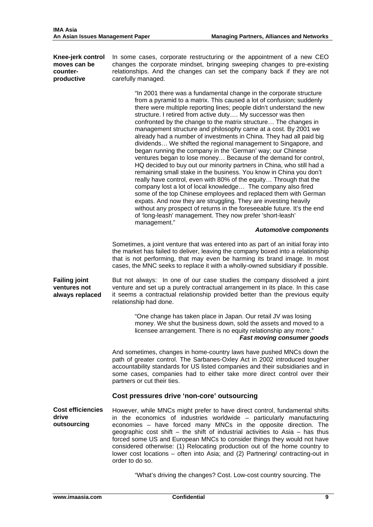| Knee-jerk control<br>moves can be<br>counter-<br>productive | In some cases, corporate restructuring or the appointment of a new CEO<br>changes the corporate mindset, bringing sweeping changes to pre-existing<br>relationships. And the changes can set the company back if they are not<br>carefully managed.                                                                                                                                                                                                                                                                                                                                                                                                                                                                                                                                                                                                                                                                                                                                                                                                                                                                                                                                                                                                                                 |
|-------------------------------------------------------------|-------------------------------------------------------------------------------------------------------------------------------------------------------------------------------------------------------------------------------------------------------------------------------------------------------------------------------------------------------------------------------------------------------------------------------------------------------------------------------------------------------------------------------------------------------------------------------------------------------------------------------------------------------------------------------------------------------------------------------------------------------------------------------------------------------------------------------------------------------------------------------------------------------------------------------------------------------------------------------------------------------------------------------------------------------------------------------------------------------------------------------------------------------------------------------------------------------------------------------------------------------------------------------------|
|                                                             | "In 2001 there was a fundamental change in the corporate structure<br>from a pyramid to a matrix. This caused a lot of confusion; suddenly<br>there were multiple reporting lines; people didn't understand the new<br>structure. I retired from active duty My successor was then<br>confronted by the change to the matrix structure The changes in<br>management structure and philosophy came at a cost. By 2001 we<br>already had a number of investments in China. They had all paid big<br>dividends We shifted the regional management to Singapore, and<br>began running the company in the 'German' way; our Chinese<br>ventures began to lose money Because of the demand for control,<br>HQ decided to buy out our minority partners in China, who still had a<br>remaining small stake in the business. You know in China you don't<br>really have control, even with 80% of the equity Through that the<br>company lost a lot of local knowledge The company also fired<br>some of the top Chinese employees and replaced them with German<br>expats. And now they are struggling. They are investing heavily<br>without any prospect of returns in the foreseeable future. It's the end<br>of 'long-leash' management. They now prefer 'short-leash'<br>management." |
|                                                             | <b>Automotive components</b>                                                                                                                                                                                                                                                                                                                                                                                                                                                                                                                                                                                                                                                                                                                                                                                                                                                                                                                                                                                                                                                                                                                                                                                                                                                        |
|                                                             | Sometimes, a joint venture that was entered into as part of an initial foray into<br>the market has failed to deliver, leaving the company boxed into a relationship<br>that is not performing, that may even be harming its brand image. In most<br>cases, the MNC seeks to replace it with a wholly-owned subsidiary if possible.                                                                                                                                                                                                                                                                                                                                                                                                                                                                                                                                                                                                                                                                                                                                                                                                                                                                                                                                                 |
| <b>Failing joint</b><br>ventures not<br>always replaced     | But not always: In one of our case studies the company dissolved a joint<br>venture and set up a purely contractual arrangement in its place. In this case<br>it seems a contractual relationship provided better than the previous equity<br>relationship had done.                                                                                                                                                                                                                                                                                                                                                                                                                                                                                                                                                                                                                                                                                                                                                                                                                                                                                                                                                                                                                |
|                                                             | "One change has taken place in Japan. Our retail JV was losing<br>money. We shut the business down, sold the assets and moved to a<br>licensee arrangement. There is no equity relationship any more."<br><b>Fast moving consumer goods</b>                                                                                                                                                                                                                                                                                                                                                                                                                                                                                                                                                                                                                                                                                                                                                                                                                                                                                                                                                                                                                                         |
|                                                             | And sometimes, changes in home-country laws have pushed MNCs down the<br>path of greater control. The Sarbanes-Oxley Act in 2002 introduced tougher<br>accountability standards for US listed companies and their subsidiaries and in<br>some cases, companies had to either take more direct control over their<br>partners or cut their ties.                                                                                                                                                                                                                                                                                                                                                                                                                                                                                                                                                                                                                                                                                                                                                                                                                                                                                                                                     |
|                                                             | Cost pressures drive 'non-core' outsourcing                                                                                                                                                                                                                                                                                                                                                                                                                                                                                                                                                                                                                                                                                                                                                                                                                                                                                                                                                                                                                                                                                                                                                                                                                                         |
| <b>Cost efficiencies</b><br>drive<br>outsourcing            | However, while MNCs might prefer to have direct control, fundamental shifts<br>in the economics of industries worldwide - particularly manufacturing<br>economies - have forced many MNCs in the opposite direction. The<br>geographic cost shift $-$ the shift of industrial activities to Asia $-$ has thus<br>forced some US and European MNCs to consider things they would not have<br>considered otherwise: (1) Relocating production out of the home country to<br>lower cost locations - often into Asia; and (2) Partnering/ contracting-out in<br>order to do so.                                                                                                                                                                                                                                                                                                                                                                                                                                                                                                                                                                                                                                                                                                         |

"What's driving the changes? Cost. Low-cost country sourcing. The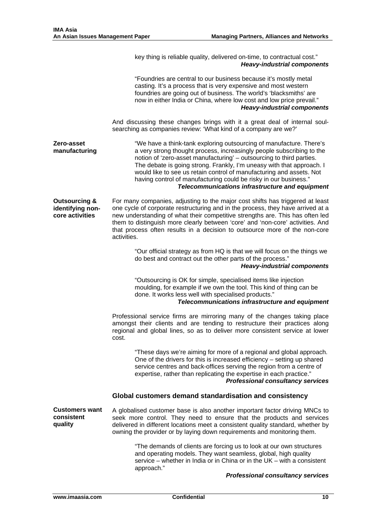key thing is reliable quality, delivered on-time, to contractual cost." *Heavy-industrial components*

|                                                                 | "Foundries are central to our business because it's mostly metal<br>casting. It's a process that is very expensive and most western<br>foundries are going out of business. The world's 'blacksmiths' are<br>now in either India or China, where low cost and low price prevail."<br><b>Heavy-industrial components</b>                                                                                                                                                                             |
|-----------------------------------------------------------------|-----------------------------------------------------------------------------------------------------------------------------------------------------------------------------------------------------------------------------------------------------------------------------------------------------------------------------------------------------------------------------------------------------------------------------------------------------------------------------------------------------|
|                                                                 | And discussing these changes brings with it a great deal of internal soul-<br>searching as companies review: 'What kind of a company are we?'                                                                                                                                                                                                                                                                                                                                                       |
| Zero-asset<br>manufacturing                                     | "We have a think-tank exploring outsourcing of manufacture. There's<br>a very strong thought process, increasingly people subscribing to the<br>notion of 'zero-asset manufacturing' - outsourcing to third parties.<br>The debate is going strong. Frankly, I'm uneasy with that approach. I<br>would like to see us retain control of manufacturing and assets. Not<br>having control of manufacturing could be risky in our business."<br><b>Telecommunications infrastructure and equipment</b> |
| <b>Outsourcing &amp;</b><br>identifying non-<br>core activities | For many companies, adjusting to the major cost shifts has triggered at least<br>one cycle of corporate restructuring and in the process, they have arrived at a<br>new understanding of what their competitive strengths are. This has often led<br>them to distinguish more clearly between 'core' and 'non-core' activities. And<br>that process often results in a decision to outsource more of the non-core<br>activities.                                                                    |
|                                                                 | "Our official strategy as from HQ is that we will focus on the things we<br>do best and contract out the other parts of the process."<br><b>Heavy-industrial components</b>                                                                                                                                                                                                                                                                                                                         |
|                                                                 | "Outsourcing is OK for simple, specialised items like injection<br>moulding, for example if we own the tool. This kind of thing can be<br>done. It works less well with specialised products."<br><b>Telecommunications infrastructure and equipment</b>                                                                                                                                                                                                                                            |
|                                                                 | Professional service firms are mirroring many of the changes taking place<br>amongst their clients and are tending to restructure their practices along<br>regional and global lines, so as to deliver more consistent service at lower<br>cost.                                                                                                                                                                                                                                                    |
|                                                                 | "These days we're aiming for more of a regional and global approach.<br>One of the drivers for this is increased efficiency - setting up shared<br>service centres and back-offices serving the region from a centre of<br>expertise, rather than replicating the expertise in each practice."<br><b>Professional consultancy services</b>                                                                                                                                                          |
|                                                                 | Global customers demand standardisation and consistency                                                                                                                                                                                                                                                                                                                                                                                                                                             |
| <b>Customers want</b><br>consistent<br>quality                  | A globalised customer base is also another important factor driving MNCs to<br>seek more control. They need to ensure that the products and services<br>delivered in different locations meet a consistent quality standard, whether by<br>owning the provider or by laying down requirements and monitoring them.                                                                                                                                                                                  |
|                                                                 | "The demands of clients are forcing us to look at our own structures<br>and operating models. They want seamless, global, high quality<br>service – whether in India or in China or in the UK – with a consistent<br>approach."                                                                                                                                                                                                                                                                     |
|                                                                 | <b>Professional consultancy services</b>                                                                                                                                                                                                                                                                                                                                                                                                                                                            |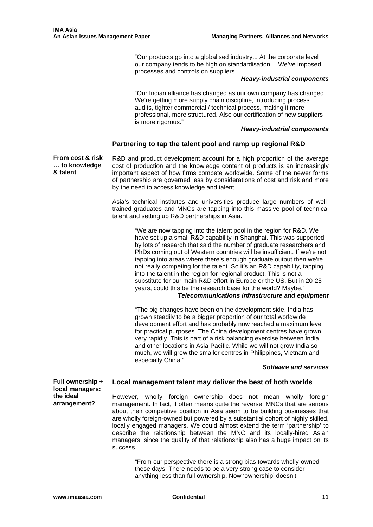"Our products go into a globalised industry... At the corporate level our company tends to be high on standardisation… We've imposed processes and controls on suppliers."

#### *Heavy-industrial components*

"Our Indian alliance has changed as our own company has changed. We're getting more supply chain discipline, introducing process audits, tighter commercial / technical process, making it more professional, more structured. Also our certification of new suppliers is more rigorous."

#### *Heavy-industrial components*

#### **Partnering to tap the talent pool and ramp up regional R&D**

**From cost & risk … to knowledge & talent** 

R&D and product development account for a high proportion of the average cost of production and the knowledge content of products is an increasingly important aspect of how firms compete worldwide. Some of the newer forms of partnership are governed less by considerations of cost and risk and more by the need to access knowledge and talent.

Asia's technical institutes and universities produce large numbers of welltrained graduates and MNCs are tapping into this massive pool of technical talent and setting up R&D partnerships in Asia.

> "We are now tapping into the talent pool in the region for R&D. We have set up a small R&D capability in Shanghai. This was supported by lots of research that said the number of graduate researchers and PhDs coming out of Western countries will be insufficient. If we're not tapping into areas where there's enough graduate output then we're not really competing for the talent. So it's an R&D capability, tapping into the talent in the region for regional product. This is not a substitute for our main R&D effort in Europe or the US. But in 20-25 years, could this be the research base for the world? Maybe." *Telecommunications infrastructure and equipment*

"The big changes have been on the development side. India has grown steadily to be a bigger proportion of our total worldwide development effort and has probably now reached a maximum level for practical purposes. The China development centres have grown very rapidly. This is part of a risk balancing exercise between India and other locations in Asia-Pacific. While we will not grow India so much, we will grow the smaller centres in Philippines, Vietnam and especially China."

#### *Software and services*

#### **Local management talent may deliver the best of both worlds**

However, wholly foreign ownership does not mean wholly foreign management. In fact, it often means quite the reverse. MNCs that are serious about their competitive position in Asia seem to be building businesses that are wholly foreign-owned but powered by a substantial cohort of highly skilled, locally engaged managers. We could almost extend the term 'partnership' to describe the relationship between the MNC and its locally-hired Asian managers, since the quality of that relationship also has a huge impact on its success.

> "From our perspective there is a strong bias towards wholly-owned these days. There needs to be a very strong case to consider anything less than full ownership. Now 'ownership' doesn't

**Full ownership + local managers:** 

**the ideal arrangement?**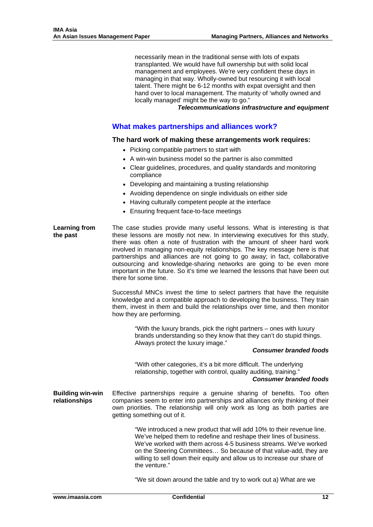necessarily mean in the traditional sense with lots of expats transplanted. We would have full ownership but with solid local management and employees. We're very confident these days in managing in that way. Wholly-owned but resourcing it with local talent. There might be 6-12 months with expat oversight and then hand over to local management. The maturity of 'wholly owned and locally managed' might be the way to go."

*Telecommunications infrastructure and equipment*

# **What makes partnerships and alliances work?**

#### **The hard work of making these arrangements work requires:**

- Picking compatible partners to start with
- A win-win business model so the partner is also committed
- Clear guidelines, procedures, and quality standards and monitoring compliance
- Developing and maintaining a trusting relationship
- Avoiding dependence on single individuals on either side
- Having culturally competent people at the interface
- Ensuring frequent face-to-face meetings
- **Learning from the past**  The case studies provide many useful lessons. What is interesting is that these lessons are mostly not new. In interviewing executives for this study, there was often a note of frustration with the amount of sheer hard work involved in managing non-equity relationships. The key message here is that partnerships and alliances are not going to go away; in fact, collaborative outsourcing and knowledge-sharing networks are going to be even more important in the future. So it's time we learned the lessons that have been out there for some time.

Successful MNCs invest the time to select partners that have the requisite knowledge and a compatible approach to developing the business. They train them, invest in them and build the relationships over time, and then monitor how they are performing.

> "With the luxury brands, pick the right partners – ones with luxury brands understanding so they know that they can't do stupid things. Always protect the luxury image."

#### *Consumer branded foods*

"With other categories, it's a bit more difficult. The underlying relationship, together with control, quality auditing, training." *Consumer branded foods*

**Building win-win relationships**  Effective partnerships require a genuine sharing of benefits. Too often companies seem to enter into partnerships and alliances only thinking of their own priorities. The relationship will only work as long as both parties are getting something out of it.

> "We introduced a new product that will add 10% to their revenue line. We've helped them to redefine and reshape their lines of business. We've worked with them across 4-5 business streams. We've worked on the Steering Committees… So because of that value-add, they are willing to sell down their equity and allow us to increase our share of the venture."

"We sit down around the table and try to work out a) What are we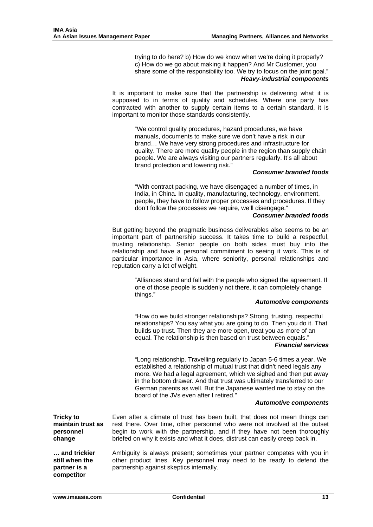trying to do here? b) How do we know when we're doing it properly? c) How do we go about making it happen? And Mr Customer, you share some of the responsibility too. We try to focus on the joint goal." *Heavy-industrial components*

It is important to make sure that the partnership is delivering what it is supposed to in terms of quality and schedules. Where one party has contracted with another to supply certain items to a certain standard, it is important to monitor those standards consistently.

> "We control quality procedures, hazard procedures, we have manuals, documents to make sure we don't have a risk in our brand… We have very strong procedures and infrastructure for quality. There are more quality people in the region than supply chain people. We are always visiting our partners regularly. It's all about brand protection and lowering risk."

#### *Consumer branded foods*

"With contract packing, we have disengaged a number of times, in India, in China. In quality, manufacturing, technology, environment, people, they have to follow proper processes and procedures. If they don't follow the processes we require, we'll disengage."

# *Consumer branded foods*

But getting beyond the pragmatic business deliverables also seems to be an important part of partnership success. It takes time to build a respectful, trusting relationship. Senior people on both sides must buy into the relationship and have a personal commitment to seeing it work. This is of particular importance in Asia, where seniority, personal relationships and reputation carry a lot of weight.

> "Alliances stand and fall with the people who signed the agreement. If one of those people is suddenly not there, it can completely change things."

#### *Automotive components*

"How do we build stronger relationships? Strong, trusting, respectful relationships? You say what you are going to do. Then you do it. That builds up trust. Then they are more open, treat you as more of an equal. The relationship is then based on trust between equals."

#### *Financial services*

"Long relationship. Travelling regularly to Japan 5-6 times a year. We established a relationship of mutual trust that didn't need legals any more. We had a legal agreement, which we sighed and then put away in the bottom drawer. And that trust was ultimately transferred to our German parents as well. But the Japanese wanted me to stay on the board of the JVs even after I retired."

#### *Automotive components*

**Tricky to maintain trust as personnel change**  Even after a climate of trust has been built, that does not mean things can rest there. Over time, other personnel who were not involved at the outset begin to work with the partnership, and if they have not been thoroughly briefed on why it exists and what it does, distrust can easily creep back in.

**… and trickier still when the partner is a competitor**  Ambiguity is always present; sometimes your partner competes with you in other product lines. Key personnel may need to be ready to defend the partnership against skeptics internally.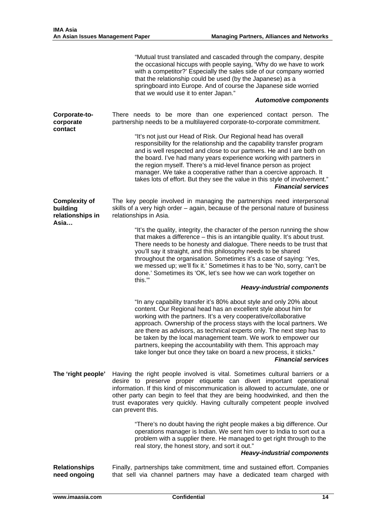|                                                              | "Mutual trust translated and cascaded through the company, despite<br>the occasional hiccups with people saying, 'Why do we have to work<br>with a competitor?' Especially the sales side of our company worried<br>that the relationship could be used (by the Japanese) as a<br>springboard into Europe. And of course the Japanese side worried<br>that we would use it to enter Japan."<br><b>Automotive components</b>                                                                                                                                                                           |
|--------------------------------------------------------------|-------------------------------------------------------------------------------------------------------------------------------------------------------------------------------------------------------------------------------------------------------------------------------------------------------------------------------------------------------------------------------------------------------------------------------------------------------------------------------------------------------------------------------------------------------------------------------------------------------|
| Corporate-to-<br>corporate                                   | There needs to be more than one experienced contact person. The<br>partnership needs to be a multilayered corporate-to-corporate commitment.                                                                                                                                                                                                                                                                                                                                                                                                                                                          |
| contact                                                      | "It's not just our Head of Risk. Our Regional head has overall<br>responsibility for the relationship and the capability transfer program<br>and is well respected and close to our partners. He and I are both on<br>the board. I've had many years experience working with partners in<br>the region myself. There's a mid-level finance person as project<br>manager. We take a cooperative rather than a coercive approach. It<br>takes lots of effort. But they see the value in this style of involvement."<br><b>Financial services</b>                                                        |
| <b>Complexity of</b><br>building<br>relationships in<br>Asia | The key people involved in managing the partnerships need interpersonal<br>skills of a very high order - again, because of the personal nature of business<br>relationships in Asia.                                                                                                                                                                                                                                                                                                                                                                                                                  |
|                                                              | "It's the quality, integrity, the character of the person running the show<br>that makes a difference – this is an intangible quality. It's about trust.<br>There needs to be honesty and dialogue. There needs to be trust that<br>you'll say it straight, and this philosophy needs to be shared<br>throughout the organisation. Sometimes it's a case of saying: 'Yes,<br>we messed up; we'll fix it.' Sometimes it has to be 'No, sorry, can't be<br>done.' Sometimes its 'OK, let's see how we can work together on<br>this.""                                                                   |
|                                                              |                                                                                                                                                                                                                                                                                                                                                                                                                                                                                                                                                                                                       |
|                                                              | <b>Heavy-industrial components</b>                                                                                                                                                                                                                                                                                                                                                                                                                                                                                                                                                                    |
|                                                              | "In any capability transfer it's 80% about style and only 20% about<br>content. Our Regional head has an excellent style about him for<br>working with the partners. It's a very cooperative/collaborative<br>approach. Ownership of the process stays with the local partners. We<br>are there as advisors, as technical experts only. The next step has to<br>be taken by the local management team. We work to empower our<br>partners, keeping the accountability with them. This approach may<br>take longer but once they take on board a new process, it sticks."<br><b>Financial services</b> |
| The 'right people'                                           | Having the right people involved is vital. Sometimes cultural barriers or a<br>desire to preserve proper etiquette can divert important operational<br>information. If this kind of miscommunication is allowed to accumulate, one or<br>other party can begin to feel that they are being hoodwinked, and then the<br>trust evaporates very quickly. Having culturally competent people involved<br>can prevent this.                                                                                                                                                                                |
|                                                              | "There's no doubt having the right people makes a big difference. Our<br>operations manager is Indian. We sent him over to India to sort out a<br>problem with a supplier there. He managed to get right through to the<br>real story, the honest story, and sort it out."                                                                                                                                                                                                                                                                                                                            |
| <b>Relationships</b>                                         | <b>Heavy-industrial components</b><br>Finally, partnerships take commitment, time and sustained effort. Companies                                                                                                                                                                                                                                                                                                                                                                                                                                                                                     |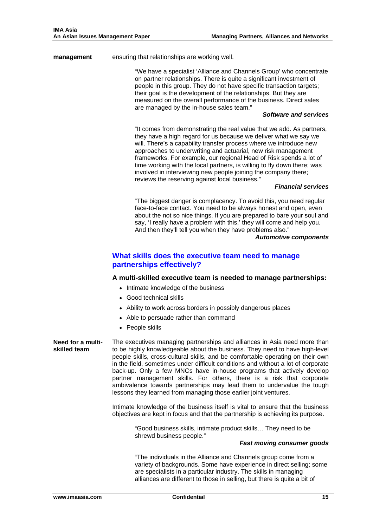#### **management** ensuring that relationships are working well.

"We have a specialist 'Alliance and Channels Group' who concentrate on partner relationships. There is quite a significant investment of people in this group. They do not have specific transaction targets; their goal is the development of the relationships. But they are measured on the overall performance of the business. Direct sales are managed by the in-house sales team."

#### *Software and services*

"It comes from demonstrating the real value that we add. As partners, they have a high regard for us because we deliver what we say we will. There's a capability transfer process where we introduce new approaches to underwriting and actuarial, new risk management frameworks. For example, our regional Head of Risk spends a lot of time working with the local partners, is willing to fly down there; was involved in interviewing new people joining the company there; reviews the reserving against local business."

#### *Financial services*

"The biggest danger is complacency. To avoid this, you need regular face-to-face contact. You need to be always honest and open, even about the not so nice things. If you are prepared to bare your soul and say, 'I really have a problem with this,' they will come and help you. And then they'll tell you when they have problems also."

*Automotive components*

# **What skills does the executive team need to manage partnerships effectively?**

#### **A multi-skilled executive team is needed to manage partnerships:**

- Intimate knowledge of the business
- Good technical skills
- Ability to work across borders in possibly dangerous places
- Able to persuade rather than command
- People skills

#### **Need for a multiskilled team**

The executives managing partnerships and alliances in Asia need more than to be highly knowledgeable about the business. They need to have high-level people skills, cross-cultural skills, and be comfortable operating on their own in the field, sometimes under difficult conditions and without a lot of corporate back-up. Only a few MNCs have in-house programs that actively develop partner management skills. For others, there is a risk that corporate ambivalence towards partnerships may lead them to undervalue the tough lessons they learned from managing those earlier joint ventures.

Intimate knowledge of the business itself is vital to ensure that the business objectives are kept in focus and that the partnership is achieving its purpose.

> "Good business skills, intimate product skills… They need to be shrewd business people."

#### *Fast moving consumer goods*

"The individuals in the Alliance and Channels group come from a variety of backgrounds. Some have experience in direct selling; some are specialists in a particular industry. The skills in managing alliances are different to those in selling, but there is quite a bit of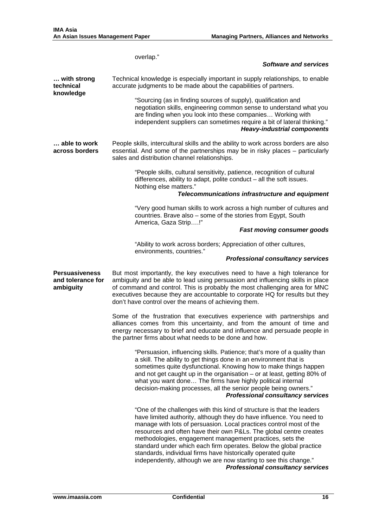|                                                         | overlap."                                                                                                                                                                                                                                                                                                                                                                                                                                                                                                                                                                                                     |
|---------------------------------------------------------|---------------------------------------------------------------------------------------------------------------------------------------------------------------------------------------------------------------------------------------------------------------------------------------------------------------------------------------------------------------------------------------------------------------------------------------------------------------------------------------------------------------------------------------------------------------------------------------------------------------|
|                                                         | <b>Software and services</b>                                                                                                                                                                                                                                                                                                                                                                                                                                                                                                                                                                                  |
| $\ldots$ with strong<br>technical<br>knowledge          | Technical knowledge is especially important in supply relationships, to enable<br>accurate judgments to be made about the capabilities of partners.                                                                                                                                                                                                                                                                                                                                                                                                                                                           |
|                                                         | "Sourcing (as in finding sources of supply), qualification and<br>negotiation skills, engineering common sense to understand what you<br>are finding when you look into these companies Working with<br>independent suppliers can sometimes require a bit of lateral thinking."<br><b>Heavy-industrial components</b>                                                                                                                                                                                                                                                                                         |
| able to work<br>across borders                          | People skills, intercultural skills and the ability to work across borders are also<br>essential. And some of the partnerships may be in risky places - particularly<br>sales and distribution channel relationships.                                                                                                                                                                                                                                                                                                                                                                                         |
|                                                         | "People skills, cultural sensitivity, patience, recognition of cultural<br>differences, ability to adapt, polite conduct - all the soft issues.<br>Nothing else matters."                                                                                                                                                                                                                                                                                                                                                                                                                                     |
|                                                         | Telecommunications infrastructure and equipment                                                                                                                                                                                                                                                                                                                                                                                                                                                                                                                                                               |
|                                                         | "Very good human skills to work across a high number of cultures and<br>countries. Brave also - some of the stories from Egypt, South<br>America, Gaza Strip!"                                                                                                                                                                                                                                                                                                                                                                                                                                                |
|                                                         | <b>Fast moving consumer goods</b>                                                                                                                                                                                                                                                                                                                                                                                                                                                                                                                                                                             |
|                                                         | "Ability to work across borders; Appreciation of other cultures,<br>environments, countries."                                                                                                                                                                                                                                                                                                                                                                                                                                                                                                                 |
|                                                         | <b>Professional consultancy services</b>                                                                                                                                                                                                                                                                                                                                                                                                                                                                                                                                                                      |
| <b>Persuasiveness</b><br>and tolerance for<br>ambiguity | But most importantly, the key executives need to have a high tolerance for<br>ambiguity and be able to lead using persuasion and influencing skills in place<br>of command and control. This is probably the most challenging area for MNC<br>executives because they are accountable to corporate HQ for results but they<br>don't have control over the means of achieving them.                                                                                                                                                                                                                            |
|                                                         | Some of the frustration that executives experience with partnerships and<br>alliances comes from this uncertainty, and from the amount of time and<br>energy necessary to brief and educate and influence and persuade people in<br>the partner firms about what needs to be done and how.                                                                                                                                                                                                                                                                                                                    |
|                                                         | "Persuasion, influencing skills. Patience; that's more of a quality than<br>a skill. The ability to get things done in an environment that is<br>sometimes quite dysfunctional. Knowing how to make things happen<br>and not get caught up in the organisation - or at least, getting 80% of<br>what you want done The firms have highly political internal<br>decision-making processes, all the senior people being owners."<br><b>Professional consultancy services</b>                                                                                                                                    |
|                                                         | "One of the challenges with this kind of structure is that the leaders<br>have limited authority, although they do have influence. You need to<br>manage with lots of persuasion. Local practices control most of the<br>resources and often have their own P&Ls. The global centre creates<br>methodologies, engagement management practices, sets the<br>standard under which each firm operates. Below the global practice<br>standards, individual firms have historically operated quite<br>independently, although we are now starting to see this change."<br><b>Professional consultancy services</b> |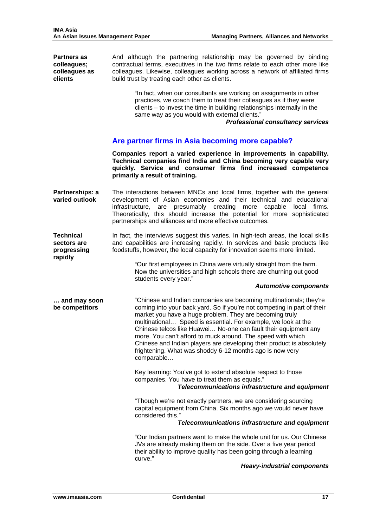**Partners as colleagues; colleagues as clients** 

And although the partnering relationship may be governed by binding contractual terms, executives in the two firms relate to each other more like colleagues. Likewise, colleagues working across a network of affiliated firms build trust by treating each other as clients.

> "In fact, when our consultants are working on assignments in other practices, we coach them to treat their colleagues as if they were clients – to invest the time in building relationships internally in the same way as you would with external clients."

*Professional consultancy services*

# **Are partner firms in Asia becoming more capable?**

**Companies report a varied experience in improvements in capability. Technical companies find India and China becoming very capable very quickly. Service and consumer firms find increased competence primarily a result of training.** 

**Partnerships: a varied outlook**  The interactions between MNCs and local firms, together with the general development of Asian economies and their technical and educational infrastructure, are presumably creating more capable local firms. Theoretically, this should increase the potential for more sophisticated partnerships and alliances and more effective outcomes.

**Technical sectors are progressing rapidly**  In fact, the interviews suggest this varies. In high-tech areas, the local skills and capabilities are increasing rapidly. In services and basic products like foodstuffs, however, the local capacity for innovation seems more limited.

> "Our first employees in China were virtually straight from the farm. Now the universities and high schools there are churning out good students every year."

#### *Automotive components*

**… and may soon be competitors**  "Chinese and Indian companies are becoming multinationals; they're coming into your back yard. So if you're not competing in part of their market you have a huge problem. They are becoming truly multinational… Speed is essential. For example, we look at the Chinese telcos like Huawei… No-one can fault their equipment any more. You can't afford to muck around. The speed with which Chinese and Indian players are developing their product is absolutely frightening. What was shoddy 6-12 months ago is now very comparable…

> Key learning: You've got to extend absolute respect to those companies. You have to treat them as equals."

*Telecommunications infrastructure and equipment*

"Though we're not exactly partners, we are considering sourcing capital equipment from China. Six months ago we would never have considered this."

#### *Telecommunications infrastructure and equipment*

"Our Indian partners want to make the whole unit for us. Our Chinese JVs are already making them on the side. Over a five year period their ability to improve quality has been going through a learning curve."

#### *Heavy-industrial components*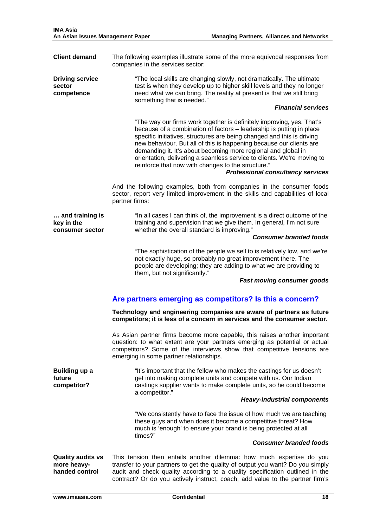| <b>Client demand</b>                                      | The following examples illustrate some of the more equivocal responses from<br>companies in the services sector:                                                                                                                                                                                                                                                                                                                                                                                                                            |
|-----------------------------------------------------------|---------------------------------------------------------------------------------------------------------------------------------------------------------------------------------------------------------------------------------------------------------------------------------------------------------------------------------------------------------------------------------------------------------------------------------------------------------------------------------------------------------------------------------------------|
| <b>Driving service</b><br>sector<br>competence            | "The local skills are changing slowly, not dramatically. The ultimate<br>test is when they develop up to higher skill levels and they no longer<br>need what we can bring. The reality at present is that we still bring<br>something that is needed."                                                                                                                                                                                                                                                                                      |
|                                                           | <b>Financial services</b>                                                                                                                                                                                                                                                                                                                                                                                                                                                                                                                   |
|                                                           | "The way our firms work together is definitely improving, yes. That's<br>because of a combination of factors - leadership is putting in place<br>specific initiatives, structures are being changed and this is driving<br>new behaviour. But all of this is happening because our clients are<br>demanding it. It's about becoming more regional and global in<br>orientation, delivering a seamless service to clients. We're moving to<br>reinforce that now with changes to the structure."<br><b>Professional consultancy services</b> |
|                                                           | And the following examples, both from companies in the consumer foods<br>sector, report very limited improvement in the skills and capabilities of local<br>partner firms:                                                                                                                                                                                                                                                                                                                                                                  |
| and training is<br>key in the<br>consumer sector          | "In all cases I can think of, the improvement is a direct outcome of the<br>training and supervision that we give them. In general, I'm not sure<br>whether the overall standard is improving."                                                                                                                                                                                                                                                                                                                                             |
|                                                           | <b>Consumer branded foods</b>                                                                                                                                                                                                                                                                                                                                                                                                                                                                                                               |
|                                                           | "The sophistication of the people we sell to is relatively low, and we're<br>not exactly huge, so probably no great improvement there. The<br>people are developing; they are adding to what we are providing to<br>them, but not significantly."                                                                                                                                                                                                                                                                                           |
|                                                           | <b>Fast moving consumer goods</b>                                                                                                                                                                                                                                                                                                                                                                                                                                                                                                           |
|                                                           | Are partners emerging as competitors? Is this a concern?                                                                                                                                                                                                                                                                                                                                                                                                                                                                                    |
|                                                           | Technology and engineering companies are aware of partners as future<br>competitors; it is less of a concern in services and the consumer sector.                                                                                                                                                                                                                                                                                                                                                                                           |
|                                                           | As Asian partner firms become more capable, this raises another important<br>question: to what extent are your partners emerging as potential or actual<br>competitors? Some of the interviews show that competitive tensions are<br>emerging in some partner relationships.                                                                                                                                                                                                                                                                |
| <b>Building up a</b><br>future<br>competitor?             | "It's important that the fellow who makes the castings for us doesn't<br>get into making complete units and compete with us. Our Indian<br>castings supplier wants to make complete units, so he could become<br>a competitor."                                                                                                                                                                                                                                                                                                             |
|                                                           | <b>Heavy-industrial components</b>                                                                                                                                                                                                                                                                                                                                                                                                                                                                                                          |
|                                                           | "We consistently have to face the issue of how much we are teaching<br>these guys and when does it become a competitive threat? How<br>much is 'enough' to ensure your brand is being protected at all<br>times?"                                                                                                                                                                                                                                                                                                                           |
|                                                           | <b>Consumer branded foods</b>                                                                                                                                                                                                                                                                                                                                                                                                                                                                                                               |
| <b>Quality audits vs</b><br>more heavy-<br>handed control | This tension then entails another dilemma: how much expertise do you<br>transfer to your partners to get the quality of output you want? Do you simply<br>audit and check quality according to a quality specification outlined in the<br>contract? Or do you actively instruct, coach, add value to the partner firm's                                                                                                                                                                                                                     |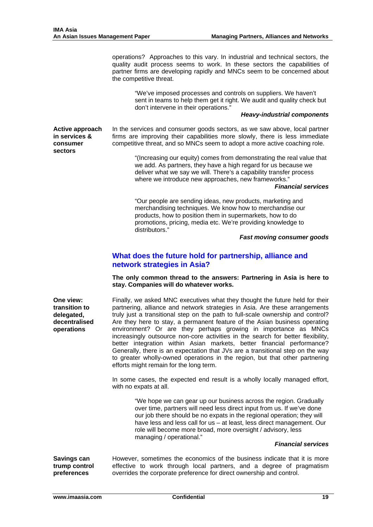operations? Approaches to this vary. In industrial and technical sectors, the quality audit process seems to work. In these sectors the capabilities of partner firms are developing rapidly and MNCs seem to be concerned about the competitive threat.

> "We've imposed processes and controls on suppliers. We haven't sent in teams to help them get it right. We audit and quality check but don't intervene in their operations."

#### *Heavy-industrial components*

**Active approach in services & consumer sectors** 

In the services and consumer goods sectors, as we saw above, local partner firms are improving their capabilities more slowly, there is less immediate competitive threat, and so MNCs seem to adopt a more active coaching role.

> "(Increasing our equity) comes from demonstrating the real value that we add. As partners, they have a high regard for us because we deliver what we say we will. There's a capability transfer process where we introduce new approaches, new frameworks."

> > *Financial services*

"Our people are sending ideas, new products, marketing and merchandising techniques. We know how to merchandise our products, how to position them in supermarkets, how to do promotions, pricing, media etc. We're providing knowledge to distributors."

#### *Fast moving consumer goods*

# **What does the future hold for partnership, alliance and network strategies in Asia?**

**The only common thread to the answers: Partnering in Asia is here to stay. Companies will do whatever works.** 

**One view: transition to delegated, decentralised operations** 

Finally, we asked MNC executives what they thought the future held for their partnering, alliance and network strategies in Asia. Are these arrangements truly just a transitional step on the path to full-scale ownership and control? Are they here to stay, a permanent feature of the Asian business operating environment? Or are they perhaps growing in importance as MNCs increasingly outsource non-core activities in the search for better flexibility, better integration within Asian markets, better financial performance? Generally, there is an expectation that JVs are a transitional step on the way to greater wholly-owned operations in the region, but that other partnering efforts might remain for the long term.

In some cases, the expected end result is a wholly locally managed effort, with no expats at all.

> "We hope we can gear up our business across the region. Gradually over time, partners will need less direct input from us. If we've done our job there should be no expats in the regional operation; they will have less and less call for us – at least, less direct management. Our role will become more broad, more oversight / advisory, less managing / operational."

#### *Financial services*

**Savings can trump control preferences**  However, sometimes the economics of the business indicate that it is more effective to work through local partners, and a degree of pragmatism overrides the corporate preference for direct ownership and control.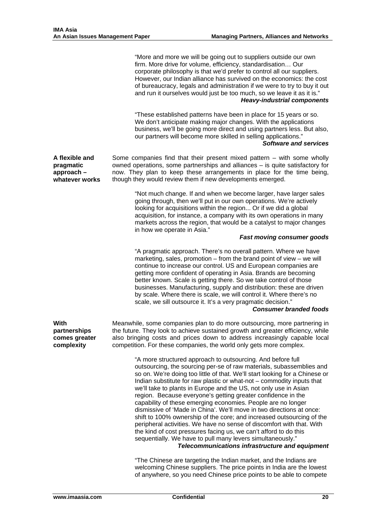|                                                             | "More and more we will be going out to suppliers outside our own<br>firm. More drive for volume, efficiency, standardisation Our<br>corporate philosophy is that we'd prefer to control all our suppliers.<br>However, our Indian alliance has survived on the economics: the cost<br>of bureaucracy, legals and administration if we were to try to buy it out<br>and run it ourselves would just be too much, so we leave it as it is."<br><b>Heavy-industrial components</b>                                                                                                                                                                                                                                                                                                                                                                                                                                |
|-------------------------------------------------------------|----------------------------------------------------------------------------------------------------------------------------------------------------------------------------------------------------------------------------------------------------------------------------------------------------------------------------------------------------------------------------------------------------------------------------------------------------------------------------------------------------------------------------------------------------------------------------------------------------------------------------------------------------------------------------------------------------------------------------------------------------------------------------------------------------------------------------------------------------------------------------------------------------------------|
|                                                             | "These established patterns have been in place for 15 years or so.<br>We don't anticipate making major changes. With the applications<br>business, we'll be going more direct and using partners less. But also,<br>our partners will become more skilled in selling applications."<br><b>Software and services</b>                                                                                                                                                                                                                                                                                                                                                                                                                                                                                                                                                                                            |
| A flexible and<br>pragmatic<br>approach -<br>whatever works | Some companies find that their present mixed pattern $-$ with some wholly<br>owned operations, some partnerships and alliances - is quite satisfactory for<br>now. They plan to keep these arrangements in place for the time being,<br>though they would review them if new developments emerged.                                                                                                                                                                                                                                                                                                                                                                                                                                                                                                                                                                                                             |
|                                                             | "Not much change. If and when we become larger, have larger sales<br>going through, then we'll put in our own operations. We're actively<br>looking for acquisitions within the region Or if we did a global<br>acquisition, for instance, a company with its own operations in many<br>markets across the region, that would be a catalyst to major changes                                                                                                                                                                                                                                                                                                                                                                                                                                                                                                                                                   |
|                                                             | in how we operate in Asia."<br><b>Fast moving consumer goods</b>                                                                                                                                                                                                                                                                                                                                                                                                                                                                                                                                                                                                                                                                                                                                                                                                                                               |
|                                                             | "A pragmatic approach. There's no overall pattern. Where we have<br>marketing, sales, promotion $-$ from the brand point of view $-$ we will<br>continue to increase our control. US and European companies are<br>getting more confident of operating in Asia. Brands are becoming<br>better known. Scale is getting there. So we take control of those<br>businesses. Manufacturing, supply and distribution: these are driven<br>by scale. Where there is scale, we will control it. Where there's no<br>scale, we sill outsource it. It's a very pragmatic decision."<br><b>Consumer branded foods</b>                                                                                                                                                                                                                                                                                                     |
| With<br>partnerships<br>comes greater<br>complexity         | Meanwhile, some companies plan to do more outsourcing, more partnering in<br>the future. They look to achieve sustained growth and greater efficiency, while<br>also bringing costs and prices down to address increasingly capable local<br>competition. For these companies, the world only gets more complex.                                                                                                                                                                                                                                                                                                                                                                                                                                                                                                                                                                                               |
|                                                             | "A more structured approach to outsourcing. And before full<br>outsourcing, the sourcing per-se of raw materials, subassemblies and<br>so on. We're doing too little of that. We'll start looking for a Chinese or<br>Indian substitute for raw plastic or what-not - commodity inputs that<br>we'll take to plants in Europe and the US, not only use in Asian<br>region. Because everyone's getting greater confidence in the<br>capability of these emerging economies. People are no longer<br>dismissive of 'Made in China'. We'll move in two directions at once:<br>shift to 100% ownership of the core; and increased outsourcing of the<br>peripheral activities. We have no sense of discomfort with that. With<br>the kind of cost pressures facing us, we can't afford to do this<br>sequentially. We have to pull many levers simultaneously."<br>Telecommunications infrastructure and equipment |
|                                                             | "The Chinese are targeting the Indian market, and the Indians are<br>welcoming Chinese suppliers. The price points in India are the lowest<br>of anywhere, so you need Chinese price points to be able to compete                                                                                                                                                                                                                                                                                                                                                                                                                                                                                                                                                                                                                                                                                              |